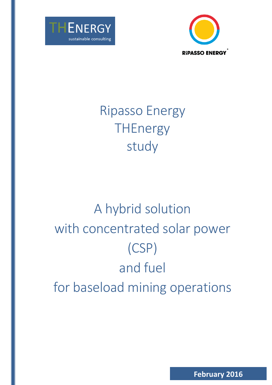



# Ripasso Energy **THEnergy** study

# A hybrid solution with concentrated solar power (CSP) and fuel for baseload mining operations

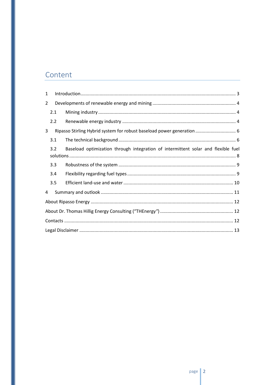# Content

| $\mathbf{1}$   |     |                                                                                   |  |
|----------------|-----|-----------------------------------------------------------------------------------|--|
| $\overline{2}$ |     |                                                                                   |  |
|                | 2.1 |                                                                                   |  |
|                | 2.2 |                                                                                   |  |
| 3              |     | Ripasso Stirling Hybrid system for robust baseload power generation  6            |  |
|                | 3.1 |                                                                                   |  |
|                | 3.2 | Baseload optimization through integration of intermittent solar and flexible fuel |  |
|                | 3.3 |                                                                                   |  |
|                | 3.4 |                                                                                   |  |
|                | 3.5 |                                                                                   |  |
| 4              |     |                                                                                   |  |
|                |     |                                                                                   |  |
|                |     |                                                                                   |  |
|                |     |                                                                                   |  |
|                |     |                                                                                   |  |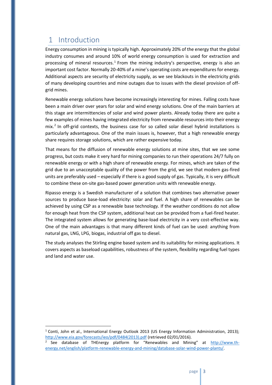# <span id="page-2-0"></span>1 Introduction

 $\overline{a}$ 

Energy consumption in mining is typically high. Approximately 20% of the energy that the global industry consumes and around 10% of world energy consumption is used for extraction and processing of mineral resources.<sup>1</sup> From the mining industry's perspective, energy is also an important cost factor. Normally 20-40% of a mine's operating costs are expenditures for energy. Additional aspects are security of electricity supply, as we see blackouts in the electricity grids of many developing countries and mine outages due to issues with the diesel provision of offgrid mines.

Renewable energy solutions have become increasingly interesting for mines. Falling costs have been a main driver over years for solar and wind energy solutions. One of the main barriers at this stage are intermittencies of solar and wind power plants. Already today there are quite a few examples of mines having integrated electricity from renewable resources into their energy mix.<sup>2</sup> In off-grid contexts, the business case for so called solar diesel hybrid installations is particularly advantageous. One of the main issues is, however, that a high renewable energy share requires storage solutions, which are rather expensive today.

That means for the diffusion of renewable energy solutions at mine sites, that we see some progress, but costs make it very hard for mining companies to run their operations 24/7 fully on renewable energy or with a high share of renewable energy. For mines, which are taken of the grid due to an unacceptable quality of the power from the grid, we see that modern gas-fired units are preferably used – especially if there is a good supply of gas. Typically, it is very difficult to combine these on-site gas-based power generation units with renewable energy.

Ripasso energy is a Swedish manufacturer of a solution that combines two alternative power sources to produce base-load electricity: solar and fuel. A high share of renewables can be achieved by using CSP as a renewable base technology. If the weather conditions do not allow for enough heat from the CSP system, additional heat can be provided from a fuel-fired heater. The integrated system allows for generating base-load electricity in a very cost-effective way. One of the main advantages is that many different kinds of fuel can be used: anything from natural gas, LNG, LPG, biogas, industrial off gas to diesel.

The study analyses the Stirling engine based system and its suitability for mining applications. It covers aspects as baseload capabilities, robustness of the system, flexibility regarding fuel types and land and water use.

<sup>&</sup>lt;sup>1</sup> Conti, John et al., International Energy Outlook 2013 (US Energy Information Administration, 2013); [http://www.eia.gov/forecasts/ieo/pdf/0484\(2013\).pdf](http://www.eia.gov/forecasts/ieo/pdf/0484(2013).pdf) (retrieved 02/01/2016).

<sup>2</sup> See database of THEnergy platform for "Renewables and Mining" at [http://www.th](http://www.th-energy.net/english/platform-renewable-energy-and-mining/database-solar-wind-power-plants/)[energy.net/english/platform-renewable-energy-and-mining/database-solar-wind-power-plants/.](http://www.th-energy.net/english/platform-renewable-energy-and-mining/database-solar-wind-power-plants/)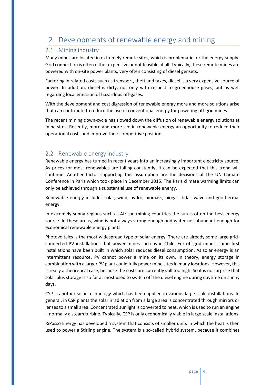# <span id="page-3-0"></span>2 Developments of renewable energy and mining

## <span id="page-3-1"></span>2.1 Mining industry

Many mines are located in extremely remote sites, which is problematic for the energy supply. Grid connection is often either expensive or not feasible at all. Typically, these remote mines are powered with on-site power plants, very often consisting of diesel gensets.

Factoring in related costs such as transport, theft and taxes, diesel is a very expensive source of power. In addition, diesel is dirty, not only with respect to greenhouse gases, but as well regarding local emission of hazardous off-gases.

With the development and cost digression of renewable energy more and more solutions arise that can contribute to reduce the use of conventional energy for powering off-grid mines.

The recent mining down-cycle has slowed down the diffusion of renewable energy solutions at mine sites. Recently, more and more see in renewable energy an opportunity to reduce their operational costs and improve their competitive position.

## <span id="page-3-2"></span>2.2 Renewable energy industry

Renewable energy has turned in recent years into an increasingly important electricity source. As prices for most renewables are falling constantly, it can be expected that this trend will continue. Another factor supporting this assumption are the decisions at the UN Climate Conference in Paris which took place in December 2015. The Paris climate warming limits can only be achieved through a substantial use of renewable energy.

Renewable energy includes solar, wind, hydro, biomass, biogas, tidal, wave and geothermal energy.

In extremely sunny regions such as African mining countries the sun is often the best energy source. In these areas, wind is not always strong enough and water not abundant enough for economical renewable energy plants.

Photovoltaics is the most widespread type of solar energy. There are already some large gridconnected PV installations that power mines such as in Chile. For off-grid mines, some first installations have been built in which solar reduces diesel consumption. As solar energy is an intermittent resource, PV cannot power a mine on its own. In theory, energy storage in combination with a larger PV plant could fully power mine sites in many locations. However, this is really a theoretical case, because the costs are currently still too high. So it is no surprise that solar plus storage is so far at most used to switch off the diesel engine during daytime on sunny days.

CSP is another solar technology which has been applied in various large scale installations. In general, in CSP plants the solar irradiation from a large area is concentrated through mirrors or lenses to a small area. Concentrated sunlight is converted to heat, which is used to run an engine – normally a steam turbine. Typically, CSP is only economically viable in large scale installations.

RiPasso Energy has developed a system that consists of smaller units in which the heat is then used to power a Stirling engine. The system is a so-called hybrid system, because it combines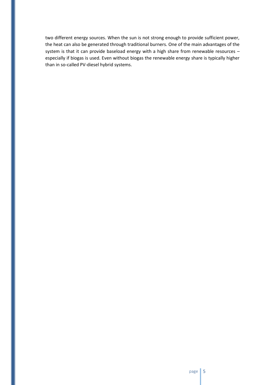two different energy sources. When the sun is not strong enough to provide sufficient power, the heat can also be generated through traditional burners. One of the main advantages of the system is that it can provide baseload energy with a high share from renewable resources – especially if biogas is used. Even without biogas the renewable energy share is typically higher than in so-called PV-diesel hybrid systems.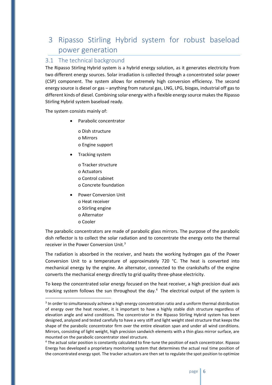# <span id="page-5-0"></span>3 Ripasso Stirling Hybrid system for robust baseload power generation

## <span id="page-5-1"></span>3.1 The technical background

The Ripasso Stirling Hybrid system is a hybrid energy solution, as it generates electricity from two different energy sources. Solar irradiation is collected through a concentrated solar power (CSP) component. The system allows for extremely high conversion efficiency. The second energy source is diesel or gas – anything from natural gas, LNG, LPG, biogas, industrial off gas to different kinds of diesel. Combining solar energy with a flexible energy source makes the Ripasso Stirling Hybrid system baseload ready.

The system consists mainly of:

- Parabolic concentrator
	- o Dish structure o Mirrors
	- o Engine support
	- Tracking system
	- - o Tracker structure
		- o Actuators
		- o Control cabinet
		- o Concrete foundation
- Power Conversion Unit
	- o Heat receiver
	- o Stirling engine
	- o Alternator
	- o Cooler

 $\overline{a}$ 

The parabolic concentrators are made of parabolic glass mirrors. The purpose of the parabolic dish reflector is to collect the solar radiation and to concentrate the energy onto the thermal receiver in the Power Conversion Unit.<sup>3</sup>

The radiation is absorbed in the receiver, and heats the working hydrogen gas of the Power Conversion Unit to a temperature of approximately 720 °C. The heat is converted into mechanical energy by the engine. An alternator, connected to the crankshafts of the engine converts the mechanical energy directly to grid quality three-phase electricity.

To keep the concentrated solar energy focused on the heat receiver, a high precision dual axis tracking system follows the sun throughout the day. $4$  The electrical output of the system is

<sup>&</sup>lt;sup>3</sup> In order to simultaneously achieve a high energy concentration ratio and a uniform thermal distribution of energy over the heat receiver, it is important to have a highly stable dish structure regardless of elevation angle and wind conditions. The concentrator in the Ripasso Stirling Hybrid system has been designed, analyzed and tested carefully to have a very stiff and light weight steel structure that keeps the shape of the parabolic concentrator firm over the entire elevation span and under all wind conditions. Mirrors, consisting of light weight, high precision sandwich elements with a thin glass mirror surface, are mounted on the parabolic concentrator steel structure.

<sup>4</sup> The actual solar position is constantly calculated to fine-tune the position of each concentrator. Ripasso Energy has developed a proprietary monitoring system that determines the actual real time position of the concentrated energy spot. The tracker actuators are then set to regulate the spot position to optimize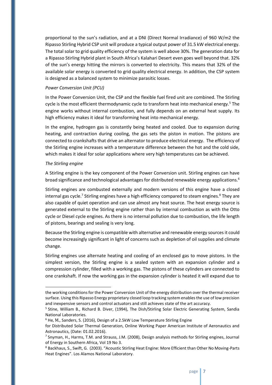proportional to the sun's radiation, and at a DNI (Direct Normal Irradiance) of 960 W/m2 the Ripasso Stirling Hybrid CSP unit will produce a typical output power of 31.5 kW electrical energy. The total solar to grid quality efficiency of the system is well above 30%. The generation data for a Ripasso Stirling Hybrid plant in South Africa's Kalahari Desert even goes well beyond that. 32% of the sun's energy hitting the mirrors is converted to electricity. This means that 32% of the available solar energy is converted to grid quality electrical energy. In addition, the CSP system is designed as a balanced system to minimize parasitic losses.

#### *Power Conversion Unit (PCU)*

In the Power Conversion Unit, the CSP and the flexible fuel fired unit are combined. The Stirling cycle is the most efficient thermodynamic cycle to transform heat into mechanical energy.<sup>5</sup> The engine works without internal combustion, and fully depends on an external heat supply. Its high efficiency makes it ideal for transforming heat into mechanical energy.

In the engine, hydrogen gas is constantly being heated and cooled. Due to expansion during heating, and contraction during cooling, the gas sets the piston in motion. The pistons are connected to crankshafts that drive an alternator to produce electrical energy. The efficiency of the Stirling engine increases with a temperature difference between the hot and the cold side, which makes it ideal for solar applications where very high temperatures can be achieved.

#### *The Stirling engine*

 $\overline{a}$ 

A Stirling engine is the key component of the Power Conversion unit. Stirling engines can have broad significance and technological advantages for distributed renewable energy applications.<sup>6</sup>

Stirling engines are combusted externally and modern versions of this engine have a closed internal gas cycle.<sup>7</sup> Stirling engines have a high efficiency compared to steam engines.<sup>8</sup> They are also capable of quiet operation and can use almost any heat source. The heat energy source is generated external to the Stirling engine rather than by internal combustion as with the Otto cycle or Diesel cycle engines. As there is no internal pollution due to combustion, the life length of pistons, bearings and sealing is very long.

Because the Stirling engine is compatible with alternative and renewable energy sources it could become increasingly significant in light of concerns such as depletion of oil supplies and climate change.

Stirling engines use alternate heating and cooling of an enclosed gas to move pistons. In the simplest version, the Stirling engine is a sealed system with an expansion cylinder and a compression cylinder, filled with a working gas. The pistons of these cylinders are connected to one crankshaft. If now the working gas in the expansion cylinder is heated it will expand due to

the working conditions for the Power Conversion Unit of the energy distribution over the thermal receiver surface. Using this Ripasso Energy proprietary closed loop tracking system enables the use of low precision and inexpensive sensors and control actuators and still achieves state of the art accuracy.

<sup>&</sup>lt;sup>5</sup> Stine, William B., Richard B. Diver, (1994), The Dish/Stirling Solar Electric Generating System, Sandia National Laboratories.

<sup>6</sup> He, M., Sanders, S. (2016), Design of a 2.5kW Low Temperature Stirling Engine

for Distributed Solar Thermal Generation, Online Working Paper American Institute of Aeronautics and Astronautics, (Date: 01.02.2016).

<sup>7</sup> Snyman, H., Harms, T.M. and Strauss, J.M. (2008), Design analysis methods for Stirling engines, Journal of Energy in Southern Africa, Vol 19 No 3.

<sup>8</sup> Backhaus, S., Swift, G. (2003). "Acoustic Stirling Heat Engine: More Efficient than Other No Moving-Parts Heat Engines". Los Alamos National Laboratory.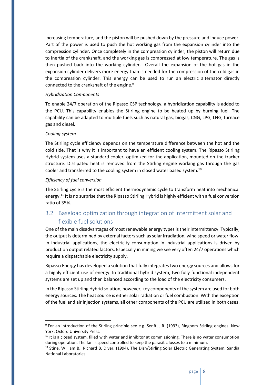increasing temperature, and the piston will be pushed down by the pressure and induce power. Part of the power is used to push the hot working gas from the expansion cylinder into the compression cylinder. Once completely in the compression cylinder, the piston will return due to inertia of the crankshaft, and the working gas is compressed at low temperature. The gas is then pushed back into the working cylinder. Overall the expansion of the hot gas in the expansion cylinder delivers more energy than is needed for the compression of the cold gas in the compression cylinder. This energy can be used to run an electric alternator directly connected to the crankshaft of the engine.<sup>9</sup>

#### *Hybridization Components*

To enable 24/7 operation of the Ripasso CSP technology, a hybridization capability is added to the PCU. This capability enables the Stirling engine to be heated up by burning fuel. The capability can be adapted to multiple fuels such as natural gas, biogas, CNG, LPG, LNG, furnace gas and diesel.

#### *Cooling system*

 $\overline{a}$ 

The Stirling cycle efficiency depends on the temperature difference between the hot and the cold side. That is why it is important to have an efficient cooling system. The Ripasso Stirling Hybrid system uses a standard cooler, optimized for the application, mounted on the tracker structure. Dissipated heat is removed from the Stirling engine working gas through the gas cooler and transferred to the cooling system in closed water based system.<sup>10</sup>

#### *Efficiency of fuel conversion*

The Stirling cycle is the most efficient thermodynamic cycle to transform heat into mechanical energy.<sup>11</sup> It is no surprise that the Ripasso Stirling Hybrid is highly efficient with a fuel conversion ratio of 35%.

## <span id="page-7-0"></span>3.2 Baseload optimization through integration of intermittent solar and flexible fuel solutions

One of the main disadvantages of most renewable energy types is their intermittency. Typically, the output is determined by external factors such as solar irradiation, wind speed or water flow. In industrial applications, the electricity consumption in industrial applications is driven by production output related factors. Especially in mining we see very often 24/7 operations which require a dispatchable electricity supply.

Ripasso Energy has developed a solution that fully integrates two energy sources and allows for a highly efficient use of energy. In traditional hybrid system, two fully functional independent systems are set up and then balanced according to the load of the electricity consumers.

In the Ripasso Stirling Hybrid solution, however, key components of the system are used for both energy sources. The heat source is either solar radiation or fuel combustion. With the exception of the fuel and air injection systems, all other components of the PCU are utilized in both cases.

<sup>&</sup>lt;sup>9</sup> For an introduction of the Stirling principle see e.g. Senft, J.R. (1993), Ringbom Stirling engines. New York: Oxford University Press.

 $10$  It is a closed system, filled with water and inhibitor at commissioning. There is no water consumption during operation. The fan is speed controlled to keep the parasitic losses to a minimum.

<sup>&</sup>lt;sup>11</sup> Stine, William B., Richard B. Diver, (1994), The Dish/Stirling Solar Electric Generating System, Sandia National Laboratories.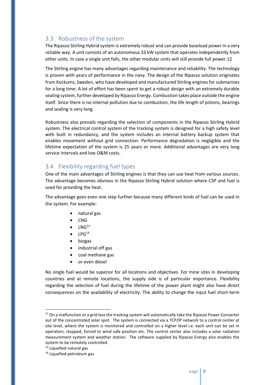## <span id="page-8-0"></span>3.3 Robustness of the system

The Ripasso Stirling Hybrid system is extremely robust and can provide baseload power in a very reliable way. A unit consists of an autonomous 33 kW system that operates independently from other units. In case a single unit fails, the other modular units will still provide full power.12

The Stirling engine has many advantages regarding maintenance and reliability. The technology is proven with years of performance in the navy. The design of the Ripasso solution originates from Kockums, Sweden, who have developed and manufactured Stirling engines for submarines for a long time. A lot of effort has been spent to get a robust design with an extremely durable sealing system, further developed by Ripasso Energy. Combustion takes place outside the engine itself. Since there is no internal pollution due to combustion, the life length of pistons, bearings and sealing is very long.

Robustness also prevails regarding the selection of components in the Ripasso Stirling Hybrid system. The electrical control system of the tracking system is designed for a high safety level with built in redundancy, and the system includes an internal battery backup system that enables movement without grid connection. Performance degradation is negligible and the lifetime expectation of the system is 25 years or more. Additional advantages are very long service intervals and low O&M costs.

### <span id="page-8-1"></span>3.4 Flexibility regarding fuel types

One of the main advantages of Stirling engines is that they can use heat from various sources. The advantage becomes obvious in the Ripasso Stirling Hybrid solution where CSP and fuel is used for providing the heat.

The advantage goes even one step further because many different kinds of fuel can be used in the system. For example:

- natural gas
- CNG
- $\bullet$  LNG<sup>13</sup>
- $\bullet$  LPG<sup>14</sup>
- biogas
- industrial off gas
- coal methane gas
- or even diesel

No single fuel would be superior for all locations and objectives. For mine sites in developing countries and at remote locations, the supply side is of particular importance. Flexibility regarding the selection of fuel during the lifetime of the power plant might also have direct consequences on the availability of electricity. The ability to change the input fuel short-term

 $\overline{a}$ 

 $12$  On a malfunction or a grid loss the tracking system will automatically take the Ripasso Power Converter out of the concentrated solar spot. The system is connected via a TCP/IP network to a control center at site level, where the system is monitored and controlled on a higher level i.e. each unit can be set in operation, stopped, forced to wind safe position etc. The control center also includes a solar radiation measurement system and weather station. The software supplied by Ripasso Energy also enables the system to be remotely controlled.

<sup>&</sup>lt;sup>13</sup> Liquefied natural gas

<sup>&</sup>lt;sup>14</sup> Liquefied petroleum gas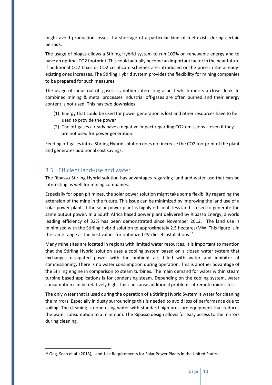might avoid production losses if a shortage of a particular kind of fuel exists during certain periods.

The usage of biogas allows a Stirling Hybrid system to run 100% on renewable energy and to have an optimal CO2 footprint. This could actually become an important factor in the near future if additional CO2 taxes or CO2 certificate schemes are introduced or the price in the alreadyexisting ones increases. The Stirling Hybrid system provides the flexibility for mining companies to be prepared for such measures.

The usage of industrial off-gases is another interesting aspect which merits a closer look. In combined mining & metal processes industrial off-gases are often burned and their energy content is not used. This has two downsides:

- (1) Energy that could be used for power generation is lost and other resources have to be used to provide the power
- (2) The off-gases already have a negative impact regarding CO2 emissions even if they are not used for power generation.

Feeding off-gases into a Stirling Hybrid solution does not increase the CO2 footprint of the plant and generates additional cost savings.

## <span id="page-9-0"></span>3.5 Efficient land-use and water

 $\overline{a}$ 

The Ripasso Stirling Hybrid solution has advantages regarding land and water use that can be interesting as well for mining companies.

Especially for open pit mines, the solar power solution might take some flexibility regarding the extension of the mine in the future. This issue can be minimized by improving the land use of a solar power plant. If the solar power plant is highly efficient, less land is used to generate the same output power. In a South Africa based power plant delivered by Ripasso Energy, a world leading efficiency of 32% has been demonstrated since November 2012. The land use is minimized with the Stirling Hybrid solution to approximately 2.5 hectares/MW. This figure is in the same range as the best values for optimized PV-diesel installations.<sup>15</sup>

Many mine sites are located in regions with limited water resources. It is important to mention that the Stirling Hybrid solution uses a cooling system based on a closed water system that exchanges dissipated power with the ambient air, filled with water and inhibitor at commissioning. There is no water consumption during operation. This is another advantage of the Stirling engine in comparison to steam turbines. The main demand for water within steam turbine based applications is for condensing steam. Depending on the cooling system, water consumption can be relatively high. This can cause additional problems at remote mine sites.

The only water that is used during the operation of a Stirling Hybrid System is water for cleaning the mirrors. Especially in dusty surroundings this is needed to avoid loss of performance due to soiling. The cleaning is done using water with standard high pressure equipment that reduces the water consumption to a minimum. The Ripasso design allows for easy access to the mirrors during cleaning.

<sup>&</sup>lt;sup>15</sup> Ong, Sean et al. (2013), Land-Use Requirements for Solar Power Plants in the United States.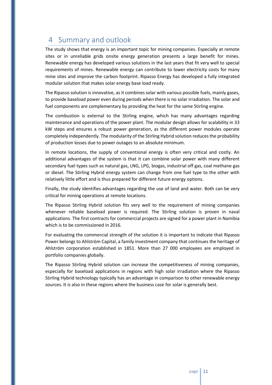# <span id="page-10-0"></span>4 Summary and outlook

The study shows that energy is an important topic for mining companies. Especially at remote sites or in unreliable grids onsite energy generation presents a large benefit for mines. Renewable energy has developed various solutions in the last years that fit very well to special requirements of mines. Renewable energy can contribute to lower electricity costs for many mine sites and improve the carbon footprint. Ripasso Energy has developed a fully integrated modular solution that makes solar energy base load ready.

The Ripasso solution is innovative, as it combines solar with various possible fuels, mainly gases, to provide baseload power even during periods when there is no solar irradiation. The solar and fuel components are complementary by providing the heat for the same Stirling engine.

The combustion is external to the Stirling engine, which has many advantages regarding maintenance and operations of the power plant. The modular design allows for scalability in 33 kW steps and ensures a robust power generation, as the different power modules operate completely independently. The modularity of the Stirling Hybrid solution reduces the probability of production losses due to power outages to an absolute minimum.

In remote locations, the supply of conventional energy is often very critical and costly. An additional advantages of the system is that it can combine solar power with many different secondary fuel types such as natural gas, LNG, LPG, biogas, industrial off gas, coal methane gas or diesel. The Stirling Hybrid energy system can change from one fuel type to the other with relatively little effort and is thus prepared for different future energy options.

Finally, the study identifies advantages regarding the use of land and water. Both can be very critical for mining operations at remote locations.

The Ripasso Stirling Hybrid solution fits very well to the requirement of mining companies whenever reliable baseload power is required. The Stirling solution is proven in naval applications. The first contracts for commercial projects are signed for a power plant in Namibia which is to be commissioned in 2016.

For evaluating the commercial strength of the solution it is important to indicate that Ripasso Power belongs to Ahlström Capital, a family investment company that continues the heritage of Ahlström corporation established in 1851. More than 27 000 employees are employed in portfolio companies globally.

The Ripasso Stirling Hybrid solution can increase the competitiveness of mining companies, especially for baseload applications in regions with high solar irradiation where the Ripasso Stirling Hybrid technology typically has an advantage in comparison to other renewable energy sources. It is also in these regions where the business case for solar is generally best.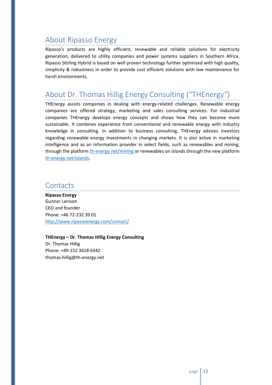## <span id="page-11-0"></span>About Ripasso Energy

Ripasso's products are highly efficient, renewable and reliable solutions for electricity generation, delivered to utility companies and power systems suppliers in Southern Africa. Ripasso Stirling Hybrid is based on well proven technology further optimized with high quality, simplicity & robustness in order to provide cost efficient solutions with low maintenance for harsh environments.

## <span id="page-11-1"></span>About Dr. Thomas Hillig Energy Consulting ("THEnergy*"*)

THEnergy assists companies in dealing with energy-related challenges. Renewable energy companies are offered strategy, marketing and sales consulting services. For industrial companies THEnergy develops energy concepts and shows how they can become more sustainable. It combines experience from conventional and renewable energy with industry knowledge in consulting. In addition to business consulting, THEnergy advises investors regarding renewable energy investments in changing markets. It is also active in marketing intelligence and as an information provider in select fields, such as renewables and mining, through the platform [th-energy.net/mining](http://www.th-energy.net/mining) or renewables on islands through the new platform [th-energy.net/islands.](http://www.th-energy.net/islands)

## <span id="page-11-2"></span>**Contacts**

**Ripasso Energy** Gunnar Larsson CEO and founder Phone: +46 72-232 39 01 <http://www.ripassoenergy.com/contact/>

<span id="page-11-3"></span>**THEnergy – Dr. Thomas Hillig Energy Consulting** Dr. Thomas Hillig Phone: +49-152 3618 6442 thomas.hillig@th-energy.net